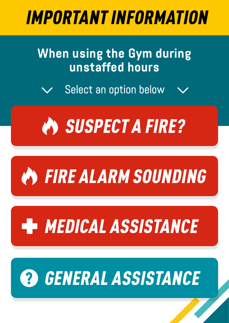## <span id="page-0-0"></span>IMPORTANT INFORMATION

### **When using the Gym during unstaffed hours**

Select an option below





# [MEDICAL ASSISTANCE](#page-3-0)

# [GENERAL ASSISTANCE](#page-4-0)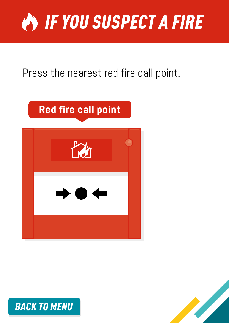<span id="page-1-0"></span>

#### Press the nearest red fire call point.

## **Red fire call point**





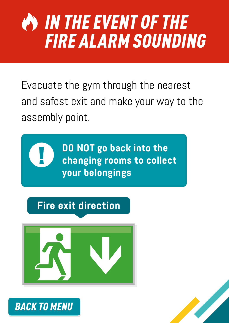## <span id="page-2-0"></span>IN THE EVENT OF THE FIRE ALARM SOUNDING

Evacuate the gym through the nearest and safest exit and make your way to the assembly point.

> **DO NOT go back into the changing rooms to collect your belongings**

**Fire exit direction**



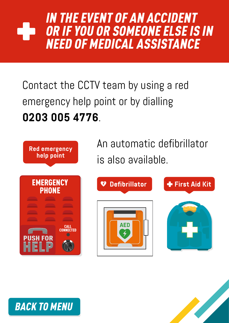### <span id="page-3-0"></span>IN THE EVENT OF AN ACCIDENT OR IF YOU OR SOMEONE ELSE IS IN NEED OF MEDICAL ASSISTANCE

Contact the CCTV team by using a red emergency help point or by dialling **0203 005 4776**.



[BACK TO MENU](#page-0-0)

An automatic defibrillator is also available.